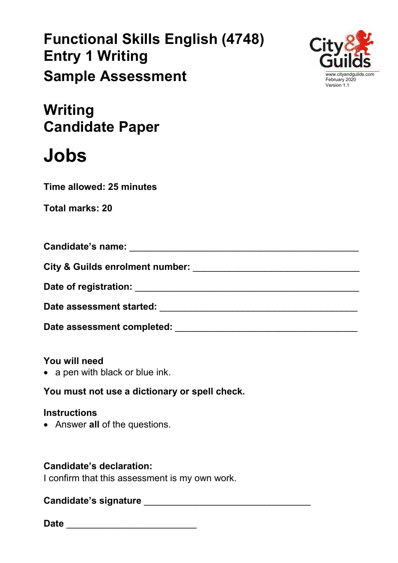## **Functional Skills English (4748) Entry 1 Writing Sample Assessment**



**Writing Candidate Paper**

# **Jobs**

**Time allowed: 25 minutes**

| Candidate's name: Exercise of the Second Second Second Second Second Second Second Second Second Second Second Second Second Second Second Second Second Second Second Second Second Second Second Second Second Second Second |  |
|--------------------------------------------------------------------------------------------------------------------------------------------------------------------------------------------------------------------------------|--|
| City & Guilds enrolment number:                                                                                                                                                                                                |  |
|                                                                                                                                                                                                                                |  |
| Date assessment started:                                                                                                                                                                                                       |  |
| Date assessment completed:                                                                                                                                                                                                     |  |

## **You will need**

• a pen with black or blue ink.

**You must not use a dictionary or spell check.**

## **Instructions**

• Answer **all** of the questions.

## **Candidate's declaration:**

I confirm that this assessment is my own work.

## **Candidate's signature contract to the contract of the contract of the contract of the contract of the contract of the contract of the contract of the contract of the contract of the contract of the contract of the contr**

**Date Date**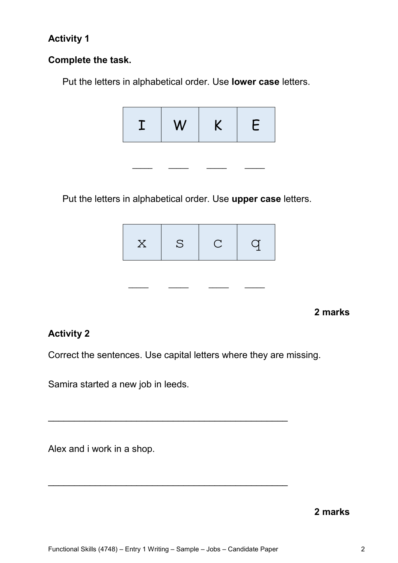## **Activity 1**

#### **Complete the task.**

Put the letters in alphabetical order. Use **lower case** letters.



 **\_\_\_\_\_ \_\_\_\_\_ \_\_\_\_\_ \_\_\_\_\_** 

Put the letters in alphabetical order. Use **upper case** letters.



#### **2 marks**

#### **Activity 2**

Correct the sentences. Use capital letters where they are missing.

\_\_\_\_\_\_\_\_\_\_\_\_\_\_\_\_\_\_\_\_\_\_\_\_\_\_\_\_\_\_\_\_\_\_\_\_\_\_\_\_\_\_\_\_\_\_

\_\_\_\_\_\_\_\_\_\_\_\_\_\_\_\_\_\_\_\_\_\_\_\_\_\_\_\_\_\_\_\_\_\_\_\_\_\_\_\_\_\_\_\_\_\_

Samira started a new job in leeds.

Alex and i work in a shop.

**2 marks**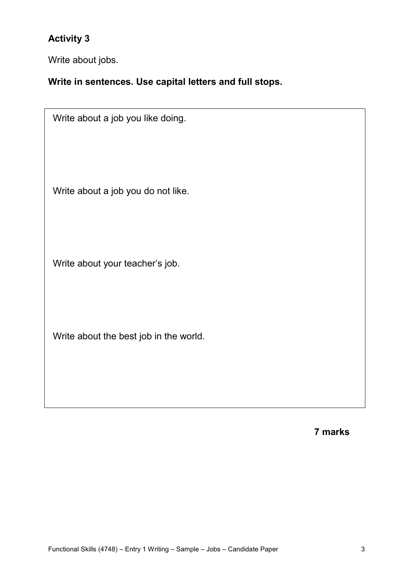## **Activity 3**

Write about jobs.

#### **Write in sentences. Use capital letters and full stops.**

Write about a job you like doing. Write about a job you do not like. Write about your teacher's job. Write about the best job in the world.

**7 marks**